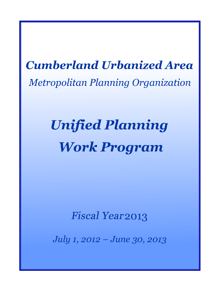# **Cumberland Urbanized Area Metropolitan Planning Organization**

# **Unified Planning Work Program**

**Fiscal Year 2013** 

*July 1, 2012 – June 30, 2013*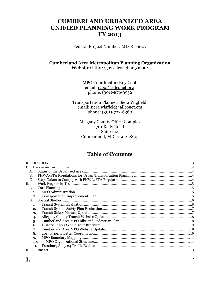### **CUMBERLAND URBANIZED AREA UNIFIED PLANNING WORK PROGRAM FY 2013**

Federal Project Number: MD-81-0007

### **Cumberland Area Metropolitan Planning Organization** Website: http://gov.allconet.org/mpo/

**MPO Coordinator: Roy Cool** email: rcool@allconet.org phone:  $(301) - 876 - 9552$ 

Transportation Planner: Siera Wigfield email: siera.wigfield@allconet.org phone: (301)-722-6360

Allegany County Office Complex 701 Kelly Road Suite 104 Cumberland, MD 21502-2803

### **Table of Contents**

|                | <b>RESOLUTION</b> |  |
|----------------|-------------------|--|
|                |                   |  |
| A.             |                   |  |
| В.             |                   |  |
| C.             |                   |  |
| $\Pi$ .        |                   |  |
| A.             |                   |  |
| 1 <sub>1</sub> |                   |  |
| 2.             |                   |  |
| B.             |                   |  |
| 1.             |                   |  |
| 2.             |                   |  |
| 3.             |                   |  |
| $\overline{4}$ |                   |  |
| 5.             |                   |  |
| 6.             |                   |  |
| 7.             |                   |  |
| 8.             |                   |  |
| 9.             |                   |  |
| 10.            |                   |  |
| 11.            |                   |  |
| III.           |                   |  |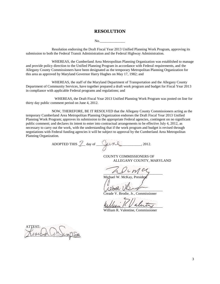#### **RESOLUTION**

No.

<span id="page-2-0"></span>Resolution endorsing the Draft Fiscal Year 2013 Unified Planning Work Program, approving its submission to both the Federal Transit Administration and the Federal Highway Administration.

WHEREAS, the Cumberland Area Metropolitan Planning Organization was established to manage and provide policy direction to the Unified Planning Program in accordance with Federal requirements, and the Allegany County Commissioners have been designated as the temporary Metropolitan Planning Organization for this area as approved by Maryland Governor Harry Hughes on May 17, 1982; and

WHEREAS, the staff of the Maryland Department of Transportation and the Allegany County Department of Community Services, have together prepared a draft work program and budget for Fiscal Year 2013 in compliance with applicable Federal programs and regulations; and

 WHEREAS, the Draft Fiscal Year 2013 Unified Planning Work Program was posted on line for thirty day public comment period on June 4, 2012.

NOW, THEREFORE, BE IT RESOLVED that the Allegany County Commissioners acting as the temporary Cumberland Area Metropolitan Planning Organization endorses the Draft Fiscal Year 2013 Unified Planning Work Program; approves its submission to the appropriate Federal agencies, contingent on no significant public comment; and declares its intent to enter into contractual arrangements to be effective July 4, 2012, as necessary to carry out the work, with the understanding that if the work program and budget is revised through negotiations with Federal funding agencies it will be subject to approval by the Cumberland Area Metropolitan Planning Organization.

ADOPTED THIS  $\mathcal{Z}$  day of  $\mathcal{Q}$  and  $\mathcal{Y}$ . 2012.

COUNTY COMMISSIONERS OF ALLEGANY COUNTY, MARYLAND

 $\sim$ 

Michael W. McKay, Preside

 $\mu$ 

V. Brodie, Jr., Commissioner

unum 1 V anny

William R. Valentine, Commissioner

ATTEST: \_\_\_\_\_\_\_\_\_\_\_\_\_\_\_\_\_\_\_\_\_\_\_\_\_\_\_\_\_\_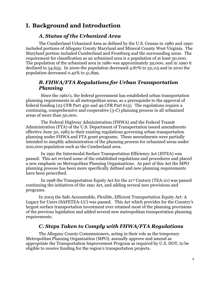### <span id="page-3-1"></span><span id="page-3-0"></span>**I. Background and Introduction**

### *A. Status of the Urbanized Area*

The Cumberland Urbanized Area as defined by the U.S. Census in 1980 and 1990 included portions of Allegany County Maryland and Mineral County West Virginia. The Maryland portion included Cumberland and Frostburg and the surrounding areas. The requirement for classification as an urbanized area is a population of at least 50,000. The population of the urbanized area in 1980 was approximately 59,000, and in 1990 it declined to 54,655. In 2000 the population decreased 4.87% to 52,115 and in 2010 the population decreased 0.42% to 51,899.

### <span id="page-3-2"></span>*B. FHWA/FTA Regulations for Urban Transportation Planning*

Since the 1960's, the federal government has established urban transportation planning requirements in all metropolitan areas, as a prerequisite to the approval of federal funding (23 CFR Part 450 and 49 CFR Part 613). The regulations require a continuing, comprehensive and cooperative (3-C) planning process in all urbanized areas of more than 50,000.

The Federal Highway Administration (FHWA) and the Federal Transit Administration (FTA) of the U.S. Department of Transportation issued amendments effective June 30, 1983 to their existing regulations governing urban transportation planning under FHWA and FTA grant programs. These amendments were partially intended to simplify administration of the planning process for urbanized areas under 200,000 population such as the Cumberland area.

In 1991 the Intermodal Surface Transportation Efficiency Act (ISTEA) was passed. This act revised some of the established regulations and procedures and placed a new emphasis on Metropolitan Planning Organizations. As part of this Act the MPO planning process has been more specifically defined and new planning requirements have been prescribed.

In 1998 the Transportation Equity Act for the 21st Century (TEA-21) was passed continuing the initiatives of the 1991 Act, and adding several new provisions and programs.

In 2005 the Safe Accountable, Flexible, Efficient Transportation Equity Act: A Legacy for Users (SAFETEA-LU) was passed. This Act which provides for the Country's largest surface transportation investment ever retained most of the planning provisions of the previous legislation and added several new metropolitan transportation planning requirements.

### *C. Steps Taken to Comply with FHWA/FTA Regulations*

<span id="page-3-3"></span>The Allegany County Commissioners, acting in their role as the temporary Metropolitan Planning Organization (MPO), annually approve and amend as appropriate the Transportation Improvement Program as required by U.S. DOT, to be eligible to receive funding for the region's transportation projects.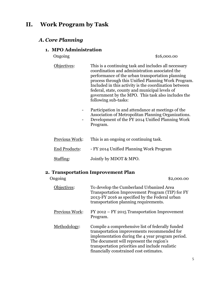### <span id="page-4-1"></span><span id="page-4-0"></span>**II. Work Program by Task**

### <span id="page-4-2"></span>*A. Core Planning*

### **1. MPO Administration**

Ongoing \$16,000.00

- Objectives: This is a continuing task and includes all necessary coordination and administration associated the performance of the urban transportation planning process through this Unified Planning Work Program. Included in this activity is the coordination between federal, state, county and municipal levels of government by the MPO. This task also includes the following sub-tasks:
	- Participation in and attendance at meetings of the Association of Metropolitan Planning Organizations.
	- Development of the FY 2014 Unified Planning Work Program.

| Previous Work: | This is an ongoing or continuing task.  |
|----------------|-----------------------------------------|
| End Products:  | - FY 2014 Unified Planning Work Program |
| Staffing:      | Jointly by MDOT & MPO.                  |

### **2. Transportation Improvement Plan**

<span id="page-4-3"></span>

| Ongoing        | \$2,000.00                                                                                                                                                                                                                                                                                    |
|----------------|-----------------------------------------------------------------------------------------------------------------------------------------------------------------------------------------------------------------------------------------------------------------------------------------------|
| Objectives:    | To develop the Cumberland Urbanized Area<br>Transportation Improvement Program (TIP) for FY<br>2013-FY 2016 as specified by the Federal urban<br>transportation planning requirements.                                                                                                        |
| Previous Work: | FY 2012 – FY 2015 Transportation Improvement<br>Program.                                                                                                                                                                                                                                      |
| Methodology:   | Compile a comprehensive list of federally funded<br>transportation improvements recommended for<br>implementation during the 4 year program period.<br>The document will represent the region's<br>transportation priorities and include realistic<br>financially constrained cost estimates. |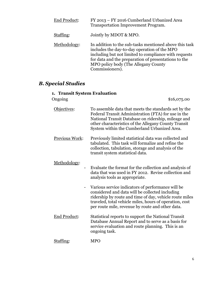| <b>End Product:</b> | FY 2013 - FY 2016 Cumberland Urbanized Area<br>Transportation Improvement Program.                                                                                                                                                                                                 |
|---------------------|------------------------------------------------------------------------------------------------------------------------------------------------------------------------------------------------------------------------------------------------------------------------------------|
| Staffing:           | Jointly by MDOT & MPO.                                                                                                                                                                                                                                                             |
| Methodology:        | In addition to the sub-tasks mentioned above this task<br>includes the day-to-day operation of the MPO<br>including but not limited to compliance with requests<br>for data and the preparation of presentations to the<br>MPO policy body (The Allegany County<br>Commissioners). |

### <span id="page-5-1"></span><span id="page-5-0"></span>*B. Special Studies*

## **1. Transit System Evaluation**

| Ongoing               | \$16,075.00                                                                                                                                                                                                                                                                    |
|-----------------------|--------------------------------------------------------------------------------------------------------------------------------------------------------------------------------------------------------------------------------------------------------------------------------|
| Objectives:           | To assemble data that meets the standards set by the<br>Federal Transit Administration (FTA) for use in the<br>National Transit Database on ridership, mileage and<br>other characteristics of the Allegany County Transit<br>System within the Cumberland Urbanized Area.     |
| <b>Previous Work:</b> | Previously limited statistical data was collected and<br>tabulated. This task will formalize and refine the<br>collection, tabulation, storage and analysis of the<br>transit system statistical data.                                                                         |
| Methodology:          | Evaluate the format for the collection and analysis of<br>data that was used in FY 2012. Revise collection and<br>analysis tools as appropriate.                                                                                                                               |
|                       | Various service indicators of performance will be<br>considered and data will be collected including<br>ridership by route and time of day, vehicle route miles<br>traveled, total vehicle miles, hours of operation, cost<br>per route mile, revenue by route and other data. |
| <b>End Product:</b>   | Statistical reports to support the National Transit<br>Database Annual Report and to serve as a basis for<br>service evaluation and route planning. This is an<br>ongoing task.                                                                                                |
| Staffing:             | <b>MPO</b>                                                                                                                                                                                                                                                                     |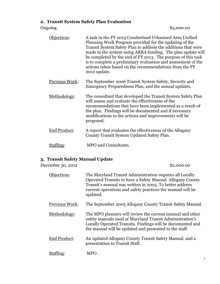### <span id="page-6-0"></span>**2. Transit System Safety Plan Evaluation**

Ongoing \$5,000.00

| Objectives:           | A task in the FY 2013 Cumberland Urbanized Area Unified<br>Planning Work Program provided for the updating of the<br>Transit System Safety Plan to address the additions that were<br>made to the system using ARRA funding. The plan update will<br>be completed by the end of FY 2013. The purpose of this task<br>is to complete a preliminary evaluation and assessment of the<br>actions taken based on the recommendations from the FY<br>2012 update. |
|-----------------------|--------------------------------------------------------------------------------------------------------------------------------------------------------------------------------------------------------------------------------------------------------------------------------------------------------------------------------------------------------------------------------------------------------------------------------------------------------------|
| <b>Previous Work:</b> | The September 2006 Transit System Safety, Security and<br>Emergency Preparedness Plan, and the annual updates.                                                                                                                                                                                                                                                                                                                                               |
| Methodology:          | The consultant that developed the Transit System Safety Plan<br>will assess and evaluate the effectiveness of the<br>recommendations that have been implemented as a result of<br>the plan. Findings will be documented and if necessary<br>modifications to the actions and improvements will be<br>proposed.                                                                                                                                               |
| End Product:          | A report that evaluates the effectiveness of the Allegany<br>County Transit System Updated Safety Plan.                                                                                                                                                                                                                                                                                                                                                      |
| Staffing:             | <b>MPO</b> and Consultants.                                                                                                                                                                                                                                                                                                                                                                                                                                  |

### <span id="page-6-1"></span>**3. Transit Safety Manual Update**

December 30, 2012 \$2,000.00 Objectives: The Maryland Transit Administration requires all Locally Operated Transits to have a Safety Manual. Allegany County Transit's manual was written in 2005. To better address current operations and safety practices the manual will be updated. Previous Work: The September 2005 Allegany County Transit Safety Manual. Methodology: The MPO planners will review the current manual and other safety manuals used at Maryland Transit Administration's Locally Operated Transits. Findings will be documented and the manual will be updated and presented to the staff. End Product: An updated Allegany County Transit Safety Manual, and a presentation to Transit Staff. Staffing: MPO.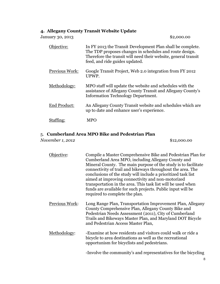### <span id="page-7-0"></span>**4. Allegany County Transit Website Update**

| January 30, 2013    | \$2,000.00                                                                                                                                                                                                                |
|---------------------|---------------------------------------------------------------------------------------------------------------------------------------------------------------------------------------------------------------------------|
| Objective:          | In FY 2013 the Transit Development Plan shall be complete.<br>The TDP proposes changes in schedules and route design.<br>Therefore the transit will need their website, general transit<br>feed, and ride guides updated. |
| Previous Work:      | Google Transit Project, Web 2.0 integration from FY 2012<br>UPWP.                                                                                                                                                         |
| Methodology:        | MPO staff will update the website and schedules with the<br>assistance of Allegany County Transit and Allegany County's<br><b>Information Technology Department.</b>                                                      |
| <b>End Product:</b> | An Allegany County Transit website and schedules which are<br>up to date and enhance user's experience.                                                                                                                   |
| Staffing:           | MPO                                                                                                                                                                                                                       |

### <span id="page-7-1"></span>5. **Cumberland Area MPO Bike and Pedestrian Plan**

*November 1, 2012* \$12,000.00

| iective:       | Compile a Master Comprehensive Bike and Pedestrian Plan for<br>Cumberland Area MPO, including Allegany County and<br>Mineral County. The main purpose of the study is to facilitate<br>connectivity of trail and bikeways throughout the area. The<br>conclusions of the study will include a prioritized task list<br>aimed at improving connectivity and non-motorized<br>transportation in the area. This task list will be used when<br>funds are available for such projects. Public input will be<br>required to complete the plan. |
|----------------|-------------------------------------------------------------------------------------------------------------------------------------------------------------------------------------------------------------------------------------------------------------------------------------------------------------------------------------------------------------------------------------------------------------------------------------------------------------------------------------------------------------------------------------------|
| Previous Work: | Long Range Plan, Transportation Improvement Plan, Allegany<br>County Comprehensive Plan, Allegany County Bike and<br>Pedestrian Needs Assessment (2011), City of Cumberland<br>Trails and Bikeways Master Plan, and Maryland DOT Bicycle<br>and Pedestrian Access Master Plan,                                                                                                                                                                                                                                                            |
| Methodology:   | -Examine at how residents and visitors could walk or ride a<br>bicycle to area destinations as well as the recreational<br>opportunism for bicyclists and pedestrians.                                                                                                                                                                                                                                                                                                                                                                    |
|                | -Involve the community's and representatives for the bicycling                                                                                                                                                                                                                                                                                                                                                                                                                                                                            |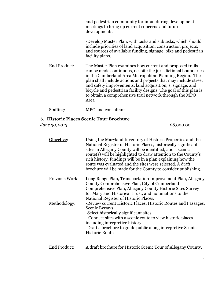and pedestrian community for input during development meetings to bring up current concerns and future developments.

-Develop Master Plan, with tasks and subtasks, which should include priorities of land acquisition, construction projects, and sources of available funding, signage, bike and pedestrian facility plans.

End Product: The Master Plan examines how current and proposed trails can be made continuous, despite the jurisdictional boundaries in the Cumberland Area Metropolitan Planning Region. The plan shall include actions and projects that may include street and safety improvements, land acquisition, s, signage, and bicycle and pedestrian facility designs. The goal of this plan is to obtain a comprehensive trail network through the MPO Area.

Staffing: MPO and consultant

### <span id="page-8-0"></span>6. **Historic Places Scenic Tour Brochure**

*June 30, 2013* \$8,000.00

| Objective:     | Using the Maryland Inventory of Historic Properties and the<br>National Register of Historic Places, historically significant<br>sites in Allegany County will be identified, and a scenic<br>route(s) will be highlighted to draw attention to the County's<br>rich history. Findings will be in a plan explaining how the<br>route was evaluated and the sites were selected. A draft<br>brochure will be made for the County to consider publishing. |
|----------------|---------------------------------------------------------------------------------------------------------------------------------------------------------------------------------------------------------------------------------------------------------------------------------------------------------------------------------------------------------------------------------------------------------------------------------------------------------|
| Previous Work: | Long Range Plan, Transportation Improvement Plan, Allegany<br>County Comprehensive Plan, City of Cumberland<br>Comprehensive Plan, Allegany County Historic Sites Survey<br>for Maryland Historical Trust, and nominations to the<br>National Register of Historic Places.                                                                                                                                                                              |
| Methodology:   | -Review current Historic Places, Historic Routes and Passages,<br>Scenic Byways.<br>-Select historically significant sites.<br>- Connect sites with a scenic route to view historic places<br>including interpretive history.<br>-Draft a brochure to guide public along interpretive Scenic<br>Historic Route.                                                                                                                                         |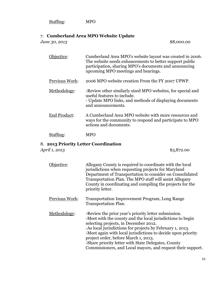| Staffing: | <b>MPO</b> |
|-----------|------------|
|           |            |

### <span id="page-9-0"></span>7. **Cumberland Area MPO Website Update**

*June 30, 2013* \$8,000.00

Objective: Cumberland Area MPO's website layout was created in 2006. The website needs enhancements to better support public participation, sharing MPO's documents and announcing upcoming MPO meetings and hearings. Previous Work: 2006 MPO website creation From the FY 2007 UPWP. Methodology: -Review other similarly sized MPO websites, for special and useful features to include. - Update MPO links, and methods of displaying documents and announcements. End Product: A Cumberland Area MPO website with more resources and ways for the community to respond and participate to MPO actions and documents. Staffing: MPO

### <span id="page-9-1"></span>8. **2013 Priority Letter Coordination**

*April 1, 2013* \$3,872.00

Objective: Allegany County is required to coordinate with the local jurisdictions when requesting projects for Maryland Department of Transportation to consider on Consolidated Transportation Plan. The MPO staff will assist Allegany County in coordinating and compiling the projects for the priority letter. **Previous Work:** Transportation Improvement Program, Long Range Transportation Plan. Methodology: - Review the prior year's priority letter submission. -Meet with the county and the local jurisdictions to begin selecting projects, in December 2012. -As local jurisdictions for projects by February 1, 2013. -Meet again with local jurisdictions to decide upon priority project order, before March 1, 2013. -Share priority letter with State Delegates, County Commissioners, and Local mayors, and request their support.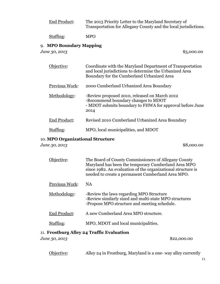| End Product: | The 2013 Priority Letter to the Maryland Secretary of           |
|--------------|-----------------------------------------------------------------|
|              | Transportation for Allegany County and the local jurisdictions. |
|              |                                                                 |

Staffing: MPO

### <span id="page-10-0"></span>9. **MPO Boundary Mapping**

*June 30, 2013* \$5,000.00

| Objective:     | Coordinate with the Maryland Department of Transportation<br>and local jurisdictions to determine the Urbanized Area<br>Boundary for the Cumberland Urbanized Area |
|----------------|--------------------------------------------------------------------------------------------------------------------------------------------------------------------|
| Previous Work: | 2000 Cumberland Urbanized Area Boundary                                                                                                                            |
| Methodology:   | -Review proposed 2010, released on March 2012<br>-Recommend boundary changes to MDOT<br>- MDOT submits boundary to FHWA for approval before June<br>2014           |
| End Product:   | Revised 2010 Cumberland Urbanized Area Boundary                                                                                                                    |
|                | MPO, local municipalities, and MDOT                                                                                                                                |

### <span id="page-10-1"></span>10. **MPO Organizational Structure**

*June 30, 2013* \$8,000.00

| ective•               | The Board of County Commissioners of Allegany County<br>Maryland has been the temporary Cumberland Area MPO<br>since 1982. An evaluation of the organizational structure is<br>needed to create a permanent Cumberland Area MPO. |
|-----------------------|----------------------------------------------------------------------------------------------------------------------------------------------------------------------------------------------------------------------------------|
| <b>Previous Work:</b> | <b>NA</b>                                                                                                                                                                                                                        |
| Methodology:          | -Review the laws regarding MPO Structure<br>-Review similarly sized and multi-state MPO structures<br>-Propose MPO structure and meeting schedule.                                                                               |
| End Product:          | A new Cumberland Area MPO structure.                                                                                                                                                                                             |
|                       | MPO, MDOT and local municipalities.                                                                                                                                                                                              |

### <span id="page-10-2"></span>11. **Frostburg Alley 24 Traffic Evaluation**

*June 30, 2013* \$22,000.00

Objective: Alley 24 in Frostburg, Maryland is a one- way alley currently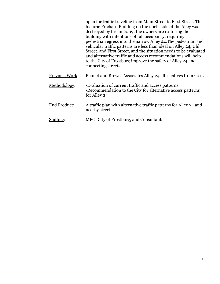|                | open for traffic traveling from Main Street to First Street. The<br>historic Prichard Building on the north side of the Alley was<br>destroyed by fire in 2009; the owners are restoring the<br>building with intentions of full occupancy, requiring a<br>pedestrian egress into the narrow Alley 24. The pedestrian and<br>vehicular traffic patterns are less than ideal on Alley 24, Uhl<br>Street, and First Street, and the situation needs to be evaluated<br>and alternative traffic and access recommendations will help<br>to the City of Frostburg improve the safety of Alley 24 and<br>connecting streets. |
|----------------|-------------------------------------------------------------------------------------------------------------------------------------------------------------------------------------------------------------------------------------------------------------------------------------------------------------------------------------------------------------------------------------------------------------------------------------------------------------------------------------------------------------------------------------------------------------------------------------------------------------------------|
| Previous Work: | Bennet and Brewer Associates Alley 24 alternatives from 2011.                                                                                                                                                                                                                                                                                                                                                                                                                                                                                                                                                           |
| Methodology:   | -Evaluation of current traffic and access patterns.<br>-Recommendation to the City for alternative access patterns<br>for Alley 24                                                                                                                                                                                                                                                                                                                                                                                                                                                                                      |
| End Product:   | A traffic plan with alternative traffic patterns for Alley 24 and<br>nearby streets.                                                                                                                                                                                                                                                                                                                                                                                                                                                                                                                                    |
| Staffing:      | MPO, City of Frostburg, and Consultants                                                                                                                                                                                                                                                                                                                                                                                                                                                                                                                                                                                 |